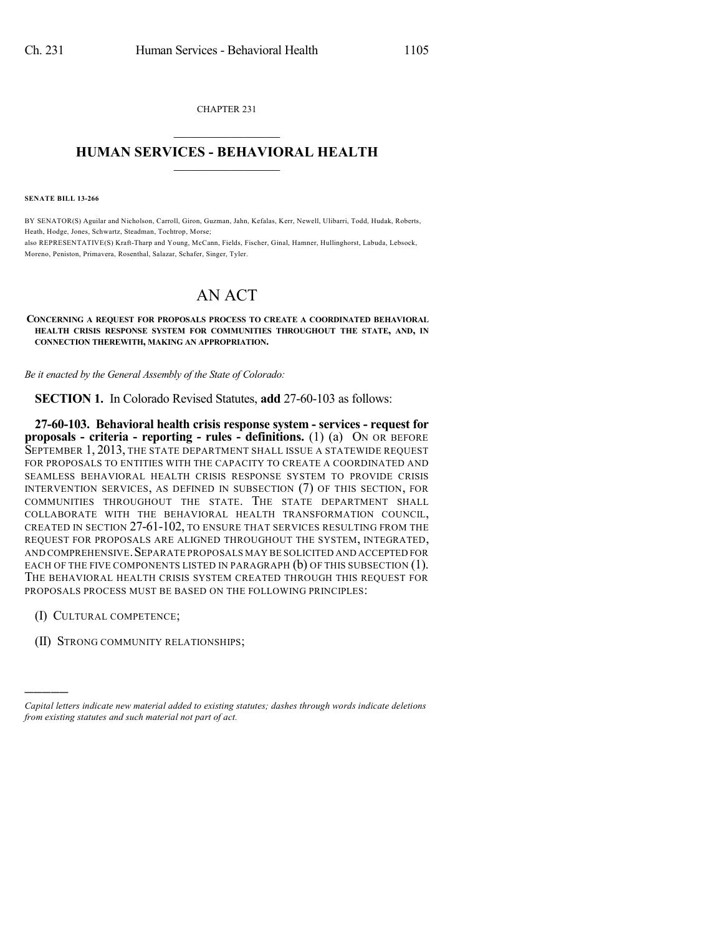CHAPTER 231  $\mathcal{L}_\text{max}$  . The set of the set of the set of the set of the set of the set of the set of the set of the set of the set of the set of the set of the set of the set of the set of the set of the set of the set of the set

## **HUMAN SERVICES - BEHAVIORAL HEALTH**  $\frac{1}{2}$  ,  $\frac{1}{2}$  ,  $\frac{1}{2}$  ,  $\frac{1}{2}$  ,  $\frac{1}{2}$  ,  $\frac{1}{2}$  ,  $\frac{1}{2}$

**SENATE BILL 13-266**

BY SENATOR(S) Aguilar and Nicholson, Carroll, Giron, Guzman, Jahn, Kefalas, Kerr, Newell, Ulibarri, Todd, Hudak, Roberts, Heath, Hodge, Jones, Schwartz, Steadman, Tochtrop, Morse; also REPRESENTATIVE(S) Kraft-Tharp and Young, McCann, Fields, Fischer, Ginal, Hamner, Hullinghorst, Labuda, Lebsock, Moreno, Peniston, Primavera, Rosenthal, Salazar, Schafer, Singer, Tyler.

## AN ACT

**CONCERNING A REQUEST FOR PROPOSALS PROCESS TO CREATE A COORDINATED BEHAVIORAL HEALTH CRISIS RESPONSE SYSTEM FOR COMMUNITIES THROUGHOUT THE STATE, AND, IN CONNECTION THEREWITH, MAKING AN APPROPRIATION.**

*Be it enacted by the General Assembly of the State of Colorado:*

**SECTION 1.** In Colorado Revised Statutes, **add** 27-60-103 as follows:

**27-60-103. Behavioral health crisis response system - services - request for proposals - criteria - reporting - rules - definitions.** (1) (a) ON OR BEFORE SEPTEMBER 1, 2013, THE STATE DEPARTMENT SHALL ISSUE A STATEWIDE REQUEST FOR PROPOSALS TO ENTITIES WITH THE CAPACITY TO CREATE A COORDINATED AND SEAMLESS BEHAVIORAL HEALTH CRISIS RESPONSE SYSTEM TO PROVIDE CRISIS INTERVENTION SERVICES, AS DEFINED IN SUBSECTION (7) OF THIS SECTION, FOR COMMUNITIES THROUGHOUT THE STATE. THE STATE DEPARTMENT SHALL COLLABORATE WITH THE BEHAVIORAL HEALTH TRANSFORMATION COUNCIL, CREATED IN SECTION 27-61-102, TO ENSURE THAT SERVICES RESULTING FROM THE REQUEST FOR PROPOSALS ARE ALIGNED THROUGHOUT THE SYSTEM, INTEGRATED, AND COMPREHENSIVE. SEPARATE PROPOSALS MAY BE SOLICITED AND ACCEPTED FOR EACH OF THE FIVE COMPONENTS LISTED IN PARAGRAPH (b) OF THIS SUBSECTION (1). THE BEHAVIORAL HEALTH CRISIS SYSTEM CREATED THROUGH THIS REQUEST FOR PROPOSALS PROCESS MUST BE BASED ON THE FOLLOWING PRINCIPLES:

(I) CULTURAL COMPETENCE;

)))))

(II) STRONG COMMUNITY RELATIONSHIPS;

*Capital letters indicate new material added to existing statutes; dashes through words indicate deletions from existing statutes and such material not part of act.*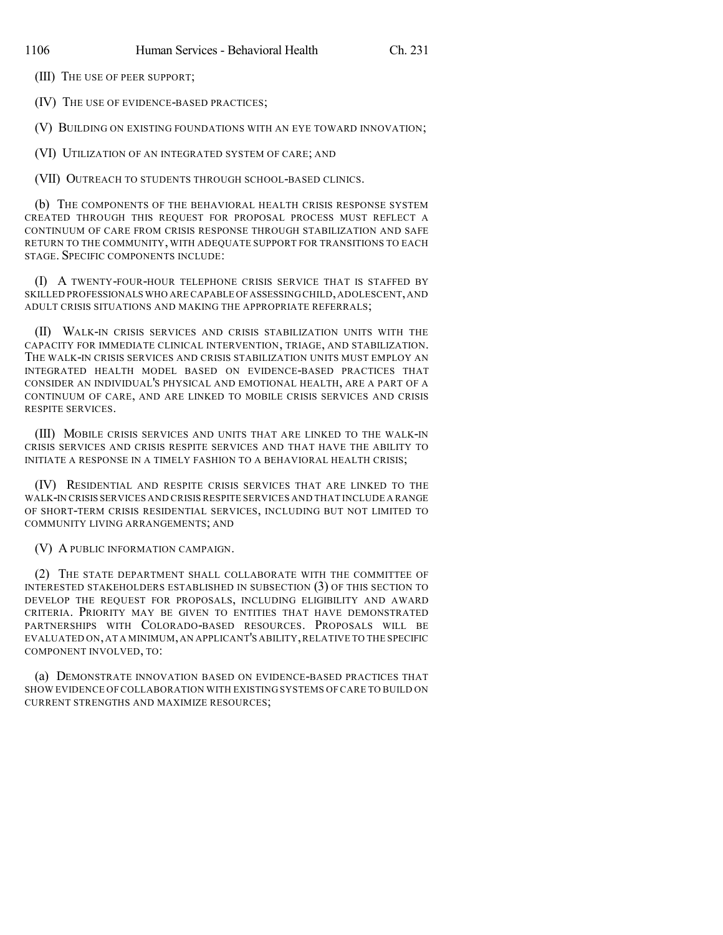(III) THE USE OF PEER SUPPORT;

(IV) THE USE OF EVIDENCE-BASED PRACTICES;

(V) BUILDING ON EXISTING FOUNDATIONS WITH AN EYE TOWARD INNOVATION;

(VI) UTILIZATION OF AN INTEGRATED SYSTEM OF CARE; AND

(VII) OUTREACH TO STUDENTS THROUGH SCHOOL-BASED CLINICS.

(b) THE COMPONENTS OF THE BEHAVIORAL HEALTH CRISIS RESPONSE SYSTEM CREATED THROUGH THIS REQUEST FOR PROPOSAL PROCESS MUST REFLECT A CONTINUUM OF CARE FROM CRISIS RESPONSE THROUGH STABILIZATION AND SAFE RETURN TO THE COMMUNITY, WITH ADEQUATE SUPPORT FOR TRANSITIONS TO EACH STAGE. SPECIFIC COMPONENTS INCLUDE:

(I) A TWENTY-FOUR-HOUR TELEPHONE CRISIS SERVICE THAT IS STAFFED BY SKILLED PROFESSIONALS WHO ARE CAPABLE OFASSESSING CHILD,ADOLESCENT,AND ADULT CRISIS SITUATIONS AND MAKING THE APPROPRIATE REFERRALS;

(II) WALK-IN CRISIS SERVICES AND CRISIS STABILIZATION UNITS WITH THE CAPACITY FOR IMMEDIATE CLINICAL INTERVENTION, TRIAGE, AND STABILIZATION. THE WALK-IN CRISIS SERVICES AND CRISIS STABILIZATION UNITS MUST EMPLOY AN INTEGRATED HEALTH MODEL BASED ON EVIDENCE-BASED PRACTICES THAT CONSIDER AN INDIVIDUAL'S PHYSICAL AND EMOTIONAL HEALTH, ARE A PART OF A CONTINUUM OF CARE, AND ARE LINKED TO MOBILE CRISIS SERVICES AND CRISIS RESPITE SERVICES.

(III) MOBILE CRISIS SERVICES AND UNITS THAT ARE LINKED TO THE WALK-IN CRISIS SERVICES AND CRISIS RESPITE SERVICES AND THAT HAVE THE ABILITY TO INITIATE A RESPONSE IN A TIMELY FASHION TO A BEHAVIORAL HEALTH CRISIS;

(IV) RESIDENTIAL AND RESPITE CRISIS SERVICES THAT ARE LINKED TO THE WALK-IN CRISIS SERVICES AND CRISIS RESPITE SERVICES AND THAT INCLUDE A RANGE OF SHORT-TERM CRISIS RESIDENTIAL SERVICES, INCLUDING BUT NOT LIMITED TO COMMUNITY LIVING ARRANGEMENTS; AND

(V) A PUBLIC INFORMATION CAMPAIGN.

(2) THE STATE DEPARTMENT SHALL COLLABORATE WITH THE COMMITTEE OF INTERESTED STAKEHOLDERS ESTABLISHED IN SUBSECTION (3) OF THIS SECTION TO DEVELOP THE REQUEST FOR PROPOSALS, INCLUDING ELIGIBILITY AND AWARD CRITERIA. PRIORITY MAY BE GIVEN TO ENTITIES THAT HAVE DEMONSTRATED PARTNERSHIPS WITH COLORADO-BASED RESOURCES. PROPOSALS WILL BE EVALUATED ON,AT A MINIMUM,AN APPLICANT'S ABILITY,RELATIVE TO THE SPECIFIC COMPONENT INVOLVED, TO:

(a) DEMONSTRATE INNOVATION BASED ON EVIDENCE-BASED PRACTICES THAT SHOW EVIDENCE OF COLLABORATION WITH EXISTING SYSTEMS OF CARE TO BUILD ON CURRENT STRENGTHS AND MAXIMIZE RESOURCES;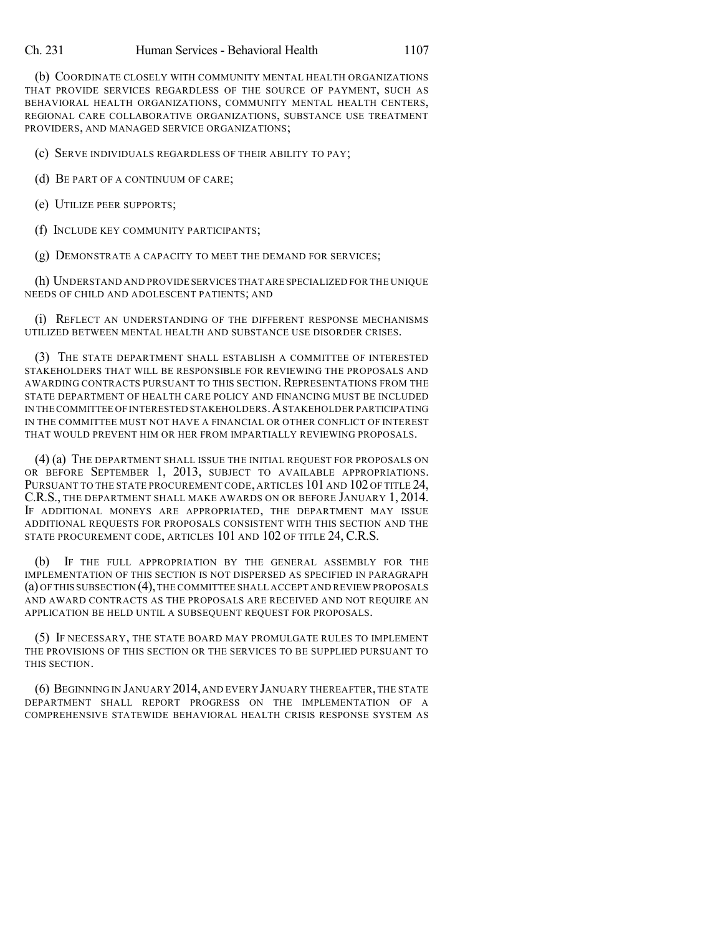(b) COORDINATE CLOSELY WITH COMMUNITY MENTAL HEALTH ORGANIZATIONS THAT PROVIDE SERVICES REGARDLESS OF THE SOURCE OF PAYMENT, SUCH AS BEHAVIORAL HEALTH ORGANIZATIONS, COMMUNITY MENTAL HEALTH CENTERS, REGIONAL CARE COLLABORATIVE ORGANIZATIONS, SUBSTANCE USE TREATMENT PROVIDERS, AND MANAGED SERVICE ORGANIZATIONS;

(c) SERVE INDIVIDUALS REGARDLESS OF THEIR ABILITY TO PAY;

(d) BE PART OF A CONTINUUM OF CARE;

(e) UTILIZE PEER SUPPORTS;

(f) INCLUDE KEY COMMUNITY PARTICIPANTS;

(g) DEMONSTRATE A CAPACITY TO MEET THE DEMAND FOR SERVICES;

(h) UNDERSTAND AND PROVIDE SERVICES THAT ARE SPECIALIZED FOR THE UNIQUE NEEDS OF CHILD AND ADOLESCENT PATIENTS; AND

(i) REFLECT AN UNDERSTANDING OF THE DIFFERENT RESPONSE MECHANISMS UTILIZED BETWEEN MENTAL HEALTH AND SUBSTANCE USE DISORDER CRISES.

(3) THE STATE DEPARTMENT SHALL ESTABLISH A COMMITTEE OF INTERESTED STAKEHOLDERS THAT WILL BE RESPONSIBLE FOR REVIEWING THE PROPOSALS AND AWARDING CONTRACTS PURSUANT TO THIS SECTION. REPRESENTATIONS FROM THE STATE DEPARTMENT OF HEALTH CARE POLICY AND FINANCING MUST BE INCLUDED IN THECOMMITTEE OF INTERESTED STAKEHOLDERS.ASTAKEHOLDER PARTICIPATING IN THE COMMITTEE MUST NOT HAVE A FINANCIAL OR OTHER CONFLICT OF INTEREST THAT WOULD PREVENT HIM OR HER FROM IMPARTIALLY REVIEWING PROPOSALS.

(4) (a) THE DEPARTMENT SHALL ISSUE THE INITIAL REQUEST FOR PROPOSALS ON OR BEFORE SEPTEMBER 1, 2013, SUBJECT TO AVAILABLE APPROPRIATIONS. PURSUANT TO THE STATE PROCUREMENT CODE, ARTICLES 101 AND 102 OF TITLE 24, C.R.S., THE DEPARTMENT SHALL MAKE AWARDS ON OR BEFORE JANUARY 1, 2014. IF ADDITIONAL MONEYS ARE APPROPRIATED, THE DEPARTMENT MAY ISSUE ADDITIONAL REQUESTS FOR PROPOSALS CONSISTENT WITH THIS SECTION AND THE STATE PROCUREMENT CODE, ARTICLES 101 AND 102 OF TITLE 24, C.R.S.

(b) IF THE FULL APPROPRIATION BY THE GENERAL ASSEMBLY FOR THE IMPLEMENTATION OF THIS SECTION IS NOT DISPERSED AS SPECIFIED IN PARAGRAPH (a) OFTHIS SUBSECTION (4),THE COMMITTEE SHALL ACCEPT AND REVIEW PROPOSALS AND AWARD CONTRACTS AS THE PROPOSALS ARE RECEIVED AND NOT REQUIRE AN APPLICATION BE HELD UNTIL A SUBSEQUENT REQUEST FOR PROPOSALS.

(5) IF NECESSARY, THE STATE BOARD MAY PROMULGATE RULES TO IMPLEMENT THE PROVISIONS OF THIS SECTION OR THE SERVICES TO BE SUPPLIED PURSUANT TO THIS SECTION.

(6) BEGINNING IN JANUARY 2014, AND EVERY JANUARY THEREAFTER,THE STATE DEPARTMENT SHALL REPORT PROGRESS ON THE IMPLEMENTATION OF A COMPREHENSIVE STATEWIDE BEHAVIORAL HEALTH CRISIS RESPONSE SYSTEM AS